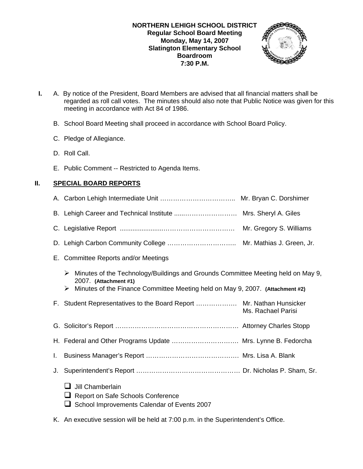

- **I.** A. By notice of the President, Board Members are advised that all financial matters shall be regarded as roll call votes. The minutes should also note that Public Notice was given for this meeting in accordance with Act 84 of 1986.
	- B. School Board Meeting shall proceed in accordance with School Board Policy.
	- C. Pledge of Allegiance.
	- D. Roll Call.
	- E. Public Comment -- Restricted to Agenda Items.

# **II. SPECIAL BOARD REPORTS**

- A. Carbon Lehigh Intermediate Unit …………………………….. Mr. Bryan C. Dorshimer
- B. Lehigh Career and Technical Institute ......…………………… Mrs. Sheryl A. Giles
- C. Legislative Report ........................…………………………… Mr. Gregory S. Williams
- D. Lehigh Carbon Community College ………………………….. Mr. Mathias J. Green, Jr.
- E. Committee Reports and/or Meetings
	- $\triangleright$  Minutes of the Technology/Buildings and Grounds Committee Meeting held on May 9, 2007. **(Attachment #1)**
	- ¾ Minutes of the Finance Committee Meeting held on May 9, 2007. **(Attachment #2)**
- F. Student Representatives to the Board Report ………………. Mr. Nathan Hunsicker Ms. Rachael Parisi
- G. Solicitor's Report ………………………………………………… Attorney Charles Stopp
- H. Federal and Other Programs Update …………………………. Mrs. Lynne B. Fedorcha
- I. Business Manager's Report ……………………………………. Mrs. Lisa A. Blank
- J. Superintendent's Report ………………………………………… Dr. Nicholas P. Sham, Sr.
	- $\Box$  Jill Chamberlain
	- Report on Safe Schools Conference
	- $\Box$  School Improvements Calendar of Events 2007
- K. An executive session will be held at 7:00 p.m. in the Superintendent's Office.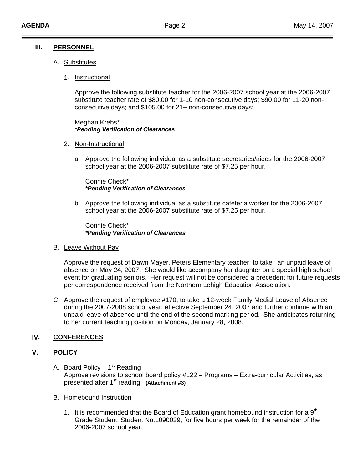#### **III. PERSONNEL**

- A. Substitutes
	- 1. Instructional

Approve the following substitute teacher for the 2006-2007 school year at the 2006-2007 substitute teacher rate of \$80.00 for 1-10 non-consecutive days; \$90.00 for 11-20 nonconsecutive days; and \$105.00 for 21+ non-consecutive days:

*\*Pending Verification of Clearances*  Meghan Krebs\*

- 2. Non-Instructional
	- a. Approve the following individual as a substitute secretaries/aides for the 2006-2007 school year at the 2006-2007 substitute rate of \$7.25 per hour.

*\*Pending Verification of Clearances*  Connie Check\*

b. Approve the following individual as a substitute cafeteria worker for the 2006-2007 school year at the 2006-2007 substitute rate of \$7.25 per hour.

*\*Pending Verification of Clearances*  Connie Check\*

B. Leave Without Pay

event for graduating seniors. Her request will not be considered a precedent for future requests per correspondence received from the Northern Lehigh Education Association. Approve the request of Dawn Mayer, Peters Elementary teacher, to take an unpaid leave of absence on May 24, 2007. She would like accompany her daughter on a special high school

C. Approve the request of employee #170, to take a 12-week Family Medial Leave of Absence unpaid leave of absence until the end of the second marking period. She anticipates returning to her current teaching position on Monday, January 28, 2008. during the 2007-2008 school year, effective September 24, 2007 and further continue with an

#### **. CONFERENCES IV**

# **V. POLICY**

- A. Board Policy  $-1$ <sup>st</sup> Reading Approve revisions to school board policy #122 – Programs – Extra-curricular Activities, as presented after 1st reading. **(Attachment #3)**
- B. Homebound Instruction
	- 1. It is recommended that the Board of Education grant homebound instruction for a  $9<sup>th</sup>$ Grade Student, Student No.1090029, for five hours per week for the remainder of the 2006-2007 school year.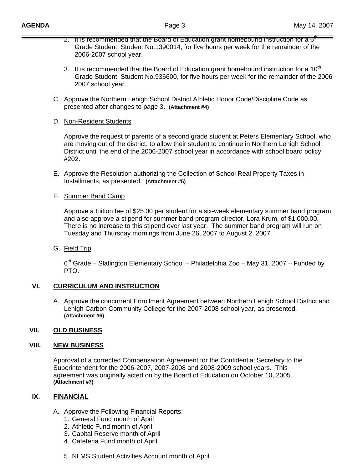- 2. It is recommended that the Board of Education grant homebound instruction for a 6<sup>th</sup> Grade Student, Student No.1390014, for five hours per week for the remainder of the 2006-2007 school year.
- 3. It is recommended that the Board of Education grant homebound instruction for a  $10<sup>th</sup>$ Grade Student, Student No.936600, for five hours per week for the remainder of the 2006- 2007 school year.
- C. Approve the Northern Lehigh School District Athletic Honor Code/Discipline Code as presented after changes to page 3. **(Attachment #4)**
- D. Non-Resident Students

 Approve the request of parents of a second grade student at Peters Elementary School, who are moving out of the district, to allow their student to continue in Northern Lehigh School District until the end of the 2006-2007 school year in accordance with school board policy #202.

- E. Approve the Resolution authorizing the Collection of School Real Property Taxes in Installments, as presented. **(Attachment #5)**
- F. Summer Band Camp

 Approve a tuition fee of \$25.00 per student for a six-week elementary summer band program and also approve a stipend for summer band program director, Lora Krum, of \$1,000.00. There is no increase to this stipend over last year. The summer band program will run on Tuesday and Thursday mornings from June 26, 2007 to August 2, 2007.

G. Field Trip

 $6<sup>th</sup>$  Grade – Slatington Elementary School – Philadelphia Zoo – May 31, 2007 – Funded by PTO.

## **VI. CURRICULUM AND INSTRUCTION**

A. Approve the concurrent Enrollment Agreement between Northern Lehigh School District and Lehigh Carbon Community College for the 2007-2008 school year, as presented. **(Attachment #6)**

## **VII. OLD BUSINESS**

## **VIII. NEW BUSINESS**

 Approval of a corrected Compensation Agreement for the Confidential Secretary to the Superintendent for the 2006-2007, 2007-2008 and 2008-2009 school years. This agreement was originally acted on by the Board of Education on October 10, 2005. **(Attachment #7)**

## **IX. FINANCIAL**

- A. Approve the Following Financial Reports:
	- 1. General Fund month of April
	- 2. Athletic Fund month of April
	- 3. Capital Reserve month of April
	- 4. Cafeteria Fund month of April

## 5. NLMS Student Activities Account month of April